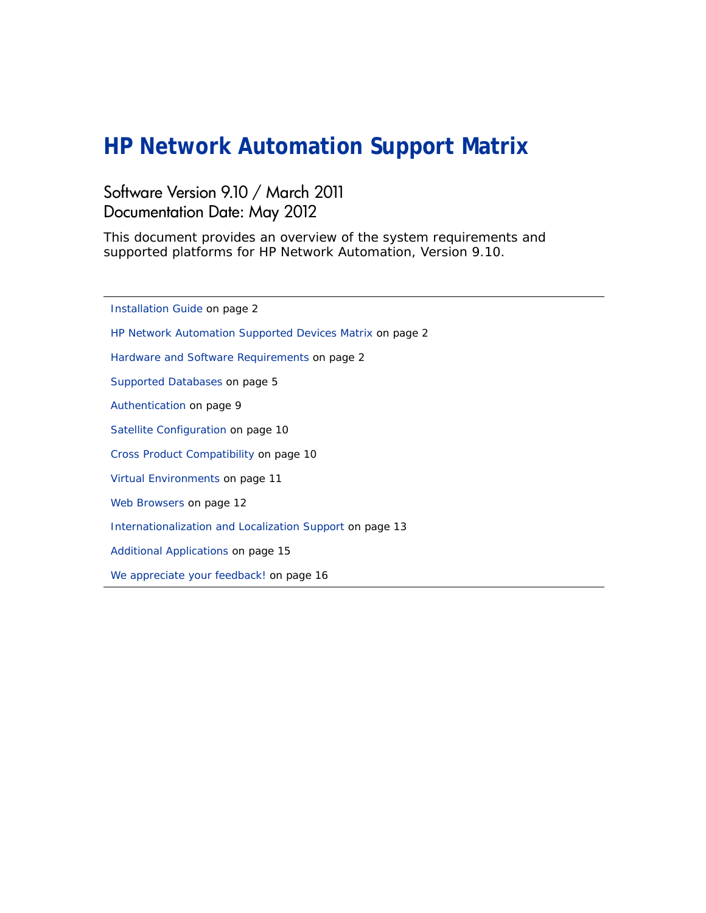# **HP Network Automation Support Matrix**

#### Software Version 9.10 / March 2011 Documentation Date: May 2012

This document provides an overview of the system requirements and supported platforms for HP Network Automation, Version 9.10.

[Installation Guide on page 2](#page-1-0) [HP Network Automation Supported Devices Matrix on page 2](#page-1-1) [Hardware and Software Requirements on page 2](#page-1-2) [Supported Databases on page 5](#page-4-0) [Authentication on page 9](#page-8-0) [Satellite Configuration on page 10](#page-9-0) [Cross Product Compatibility on page 10](#page-9-1) [Virtual Environments on page 11](#page-10-0) [Web Browsers on page 12](#page-11-0) [Internationalization and Localization Support on page 13](#page-12-0) [Additional Applications on page 15](#page-14-0) [We appreciate your feedback! on page 16](#page-15-0)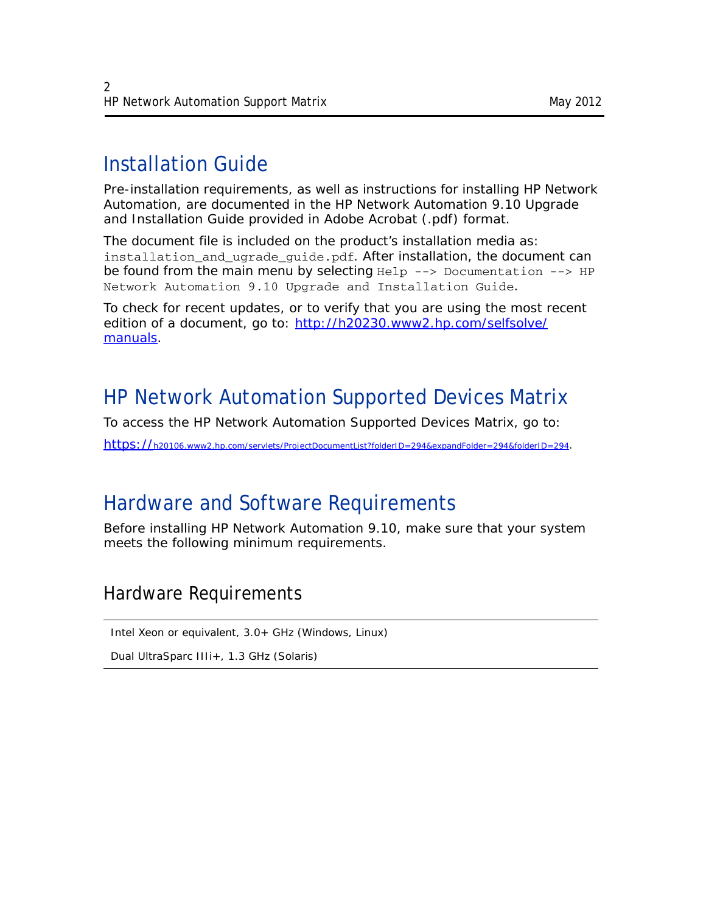# <span id="page-1-0"></span>Installation Guide

Pre-installation requirements, as well as instructions for installing HP Network Automation, are documented in the *HP Network Automation 9.10 Upgrade and Installation Guide* provided in Adobe Acrobat (.pdf) format.

The document file is included on the product's installation media as: installation\_and\_ugrade\_guide.pdf. After installation, the document can be found from the main menu by selecting  $H = -2$  Documentation  $---2$  HP Network Automation 9.10 Upgrade and Installation Guide.

To check for recent updates, or to verify that you are using the most recent edition of a document, go to: http://h20230.www2.hp.com/selfsolve/ manuals.

# <span id="page-1-1"></span>HP Network Automation Supported Devices Matrix

To access the HP Network Automation Supported Devices Matrix, go to:

https://h20106.www2.hp.com/servlets/ProjectDocumentList?folderID=294&expandFolder=294&folderID=294.

## <span id="page-1-2"></span>Hardware and Software Requirements

Before installing HP Network Automation 9.10, make sure that your system meets the following minimum requirements.

## Hardware Requirements

Intel Xeon or equivalent, 3.0+ GHz (Windows, Linux)

Dual UltraSparc IIIi+, 1.3 GHz (Solaris)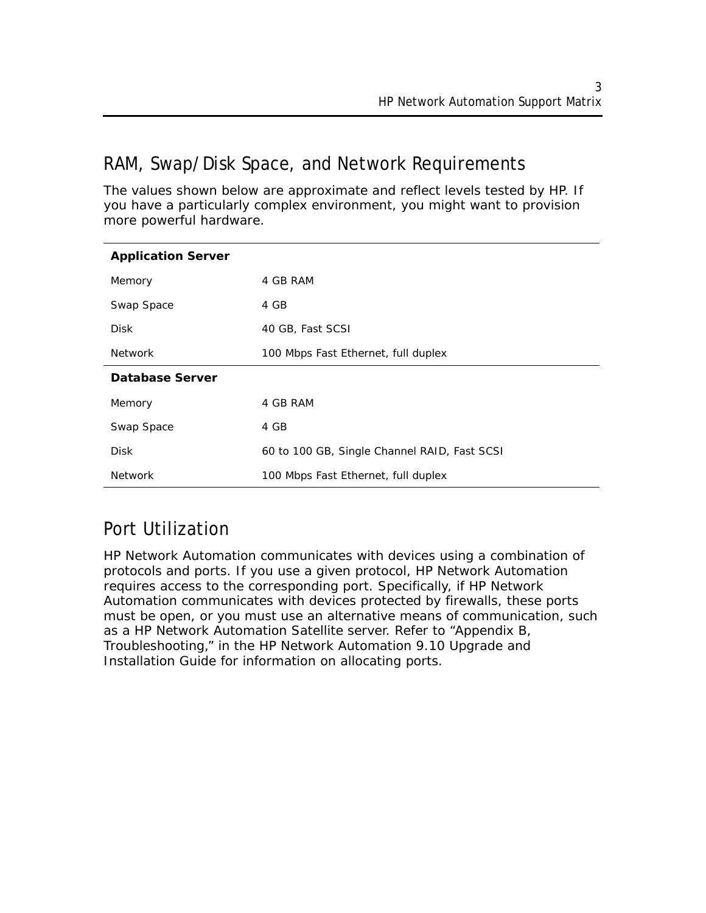## RAM, Swap/Disk Space, and Network Requirements

The values shown below are approximate and reflect levels tested by HP. If you have a particularly complex environment, you might want to provision more powerful hardware.

| <b>Application Server</b> |                                              |
|---------------------------|----------------------------------------------|
| Memory                    | 4 GB RAM                                     |
| Swap Space                | 4 GB                                         |
| <b>Disk</b>               | 40 GB, Fast SCSI                             |
| <b>Network</b>            | 100 Mbps Fast Ethernet, full duplex          |
| Database Server           |                                              |
| Memory                    | 4 GB RAM                                     |
| Swap Space                | 4 GB                                         |
| <b>Disk</b>               | 60 to 100 GB, Single Channel RAID, Fast SCSI |
| <b>Network</b>            | 100 Mbps Fast Ethernet, full duplex          |

## Port Utilization

HP Network Automation communicates with devices using a combination of protocols and ports. If you use a given protocol, HP Network Automation requires access to the corresponding port. Specifically, if HP Network Automation communicates with devices protected by firewalls, these ports must be open, or you must use an alternative means of communication, such as a HP Network Automation Satellite server. Refer to "Appendix B, Troubleshooting," in the *HP Network Automation 9.10 Upgrade and Installation Guide* for information on allocating ports.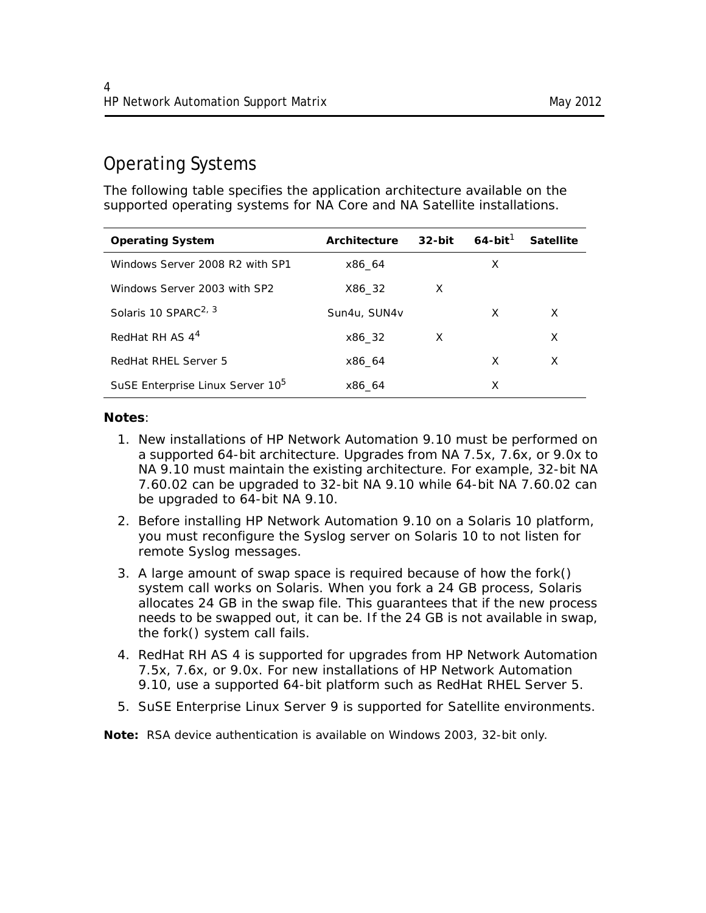## Operating Systems

The following table specifies the application architecture available on the supported operating systems for NA Core and NA Satellite installations.

| <b>Operating System</b>                      | Architecture | $32$ -bit | $64$ -bit <sup>1</sup> | <b>Satellite</b> |
|----------------------------------------------|--------------|-----------|------------------------|------------------|
| Windows Server 2008 R2 with SP1              | x86 64       |           | X                      |                  |
| Windows Server 2003 with SP2                 | X86 32       | X         |                        |                  |
| Solaris 10 SPARC <sup>2, 3</sup>             | Sun4u, SUN4v |           | X                      | X                |
| RedHat RH AS 4 <sup>4</sup>                  | x86 32       | X         |                        | X                |
| RedHat RHEL Server 5                         | x86 64       |           | X                      | X                |
| SuSE Enterprise Linux Server 10 <sup>5</sup> | x86 64       |           | х                      |                  |

#### **Notes**:

- 1. New installations of HP Network Automation 9.10 must be performed on a supported 64-bit architecture. Upgrades from NA 7.5x, 7.6x, or 9.0x to NA 9.10 must maintain the existing architecture. For example, 32-bit NA 7.60.02 can be upgraded to 32-bit NA 9.10 while 64-bit NA 7.60.02 can be upgraded to 64-bit NA 9.10.
- 2. Before installing HP Network Automation 9.10 on a Solaris 10 platform, you must reconfigure the Syslog server on Solaris 10 to not listen for remote Syslog messages.
- 3. A large amount of swap space is required because of how the *fork()* system call works on Solaris. When you fork a 24 GB process, Solaris allocates 24 GB in the swap file. This guarantees that if the new process needs to be swapped out, it can be. If the 24 GB is not available in swap, the *fork()* system call fails.
- 4. RedHat RH AS 4 is supported for upgrades from HP Network Automation 7.5x, 7.6x, or 9.0x. For new installations of HP Network Automation 9.10, use a supported 64-bit platform such as RedHat RHEL Server 5.
- 5. SuSE Enterprise Linux Server 9 is supported for Satellite environments.

**Note:** RSA device authentication is available on Windows 2003, 32-bit only.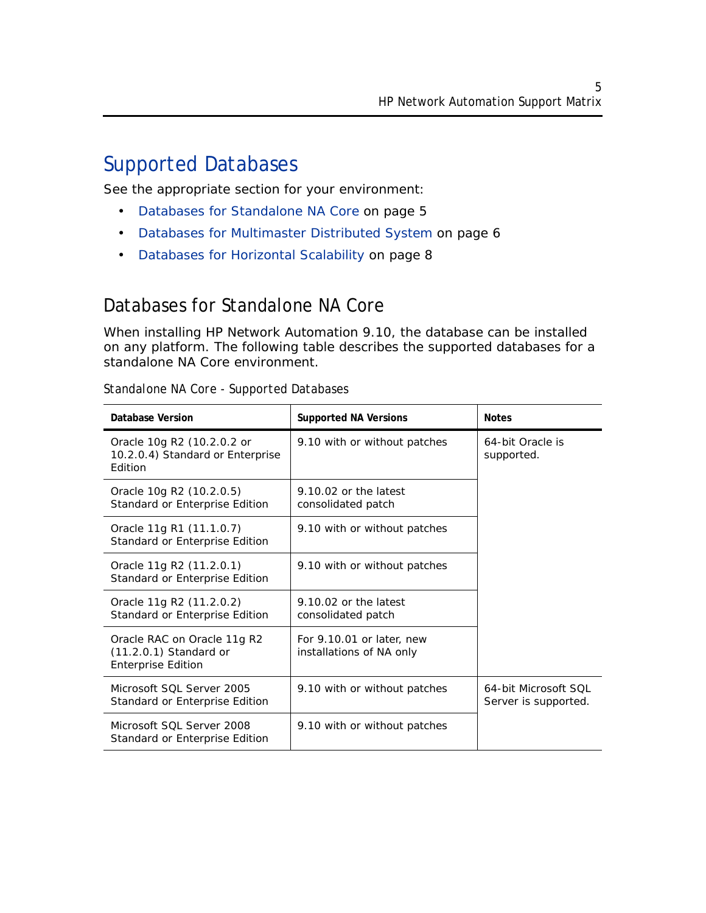## <span id="page-4-0"></span>Supported Databases

See the appropriate section for your environment:

- [Databases for Standalone NA Core on page 5](#page-4-1)
- [Databases for Multimaster Distributed System on page 6](#page-5-0)
- [Databases for Horizontal Scalability on page 8](#page-7-0)

### <span id="page-4-1"></span>Databases for Standalone NA Core

When installing HP Network Automation 9.10, the database can be installed on any platform. The following table describes the supported databases for a standalone NA Core environment.

| <b>Database Version</b>                                                              | <b>Supported NA Versions</b>                          | <b>Notes</b>                                 |  |
|--------------------------------------------------------------------------------------|-------------------------------------------------------|----------------------------------------------|--|
| Oracle 10g R2 (10.2.0.2 or<br>10.2.0.4) Standard or Enterprise<br>Edition            | 9.10 with or without patches                          | 64-bit Oracle is<br>supported.               |  |
| Oracle 10g R2 (10.2.0.5)<br>Standard or Enterprise Edition                           | 9.10.02 or the latest<br>consolidated patch           |                                              |  |
| Oracle 11g R1 (11.1.0.7)<br>Standard or Enterprise Edition                           | 9.10 with or without patches                          |                                              |  |
| Oracle 11g R2 (11.2.0.1)<br>Standard or Enterprise Edition                           | 9.10 with or without patches                          |                                              |  |
| Oracle 11g R2 (11.2.0.2)<br>Standard or Enterprise Edition                           | $9.10.02$ or the latest<br>consolidated patch         |                                              |  |
| Oracle RAC on Oracle 11g R2<br>$(11.2.0.1)$ Standard or<br><b>Enterprise Edition</b> | For 9.10.01 or later, new<br>installations of NA only |                                              |  |
| Microsoft SOL Server 2005<br>Standard or Enterprise Edition                          | 9.10 with or without patches                          | 64-bit Microsoft SOL<br>Server is supported. |  |
| Microsoft SOL Server 2008<br>Standard or Enterprise Edition                          | 9.10 with or without patches                          |                                              |  |

#### *Standalone NA Core - Supported Databases*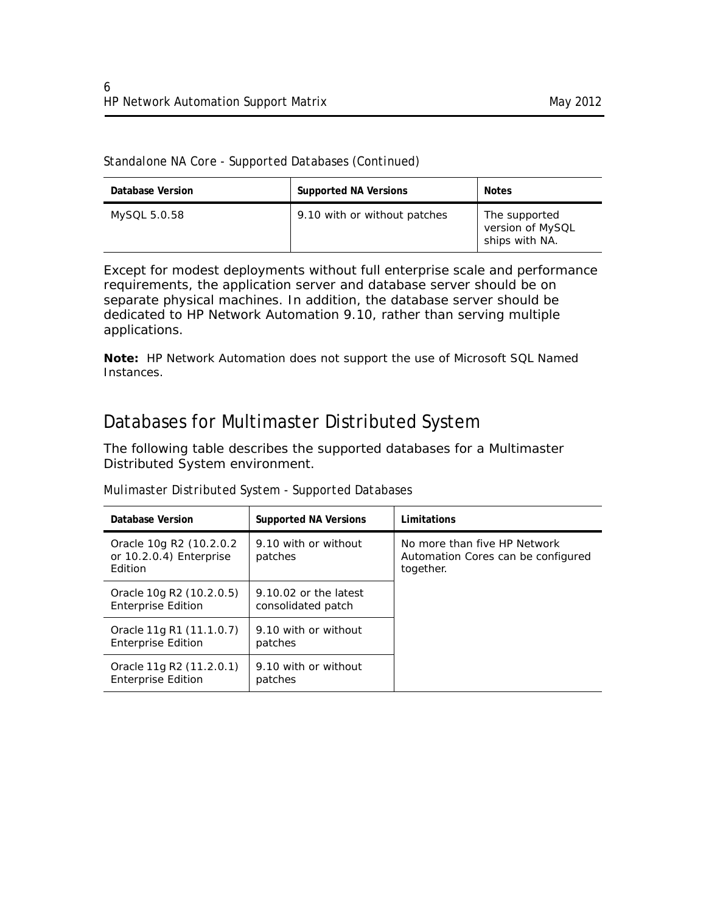| Database Version | <b>Supported NA Versions</b> | <b>Notes</b>                                        |
|------------------|------------------------------|-----------------------------------------------------|
| MySQL 5.0.58     | 9.10 with or without patches | The supported<br>version of MySQL<br>ships with NA. |

Except for modest deployments without full enterprise scale and performance requirements, the application server and database server should be on separate physical machines. In addition, the database server should be dedicated to HP Network Automation 9.10, rather than serving multiple applications.

**Note:** HP Network Automation does not support the use of Microsoft SQL Named Instances.

### <span id="page-5-0"></span>Databases for Multimaster Distributed System

The following table describes the supported databases for a Multimaster Distributed System environment.

| Database Version                                              | <b>Supported NA Versions</b>                  | Limitations                                                                     |
|---------------------------------------------------------------|-----------------------------------------------|---------------------------------------------------------------------------------|
| Oracle 10g R2 (10.2.0.2<br>or 10.2.0.4) Enterprise<br>Edition | 9.10 with or without<br>patches               | No more than five HP Network<br>Automation Cores can be configured<br>together. |
| Oracle 10g R2 (10.2.0.5)<br><b>Enterprise Edition</b>         | $9.10.02$ or the latest<br>consolidated patch |                                                                                 |
| Oracle 11g R1 (11.1.0.7)<br><b>Enterprise Edition</b>         | 9.10 with or without<br>patches               |                                                                                 |
| Oracle 11g R2 (11.2.0.1)<br><b>Enterprise Edition</b>         | 9.10 with or without<br>patches               |                                                                                 |

*Mulimaster Distributed System - Supported Databases*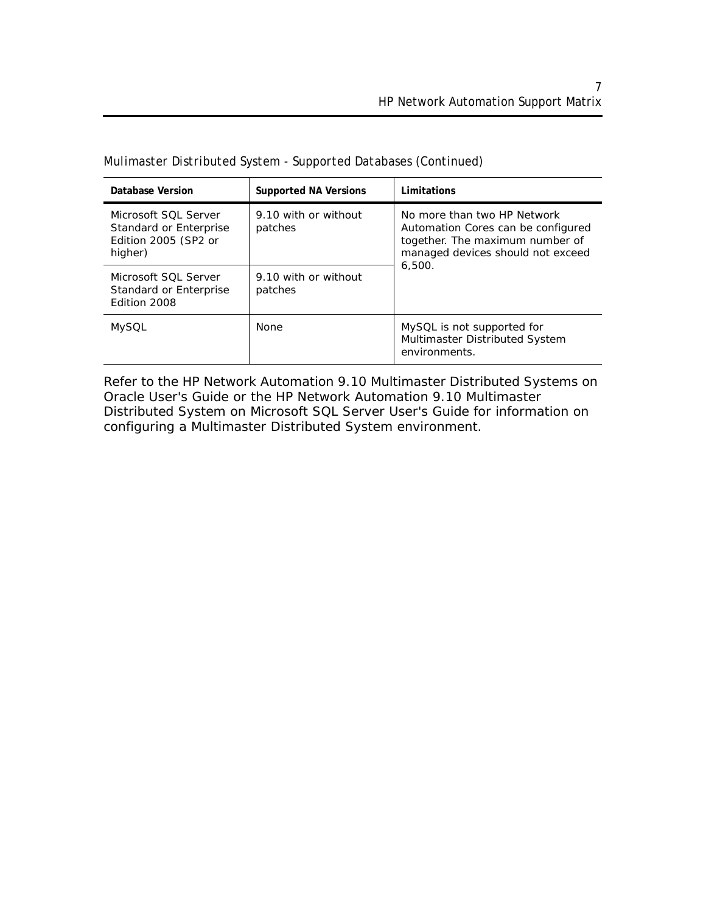| Database Version                                                                  | <b>Supported NA Versions</b>    | Limitations                                                                                                                               |
|-----------------------------------------------------------------------------------|---------------------------------|-------------------------------------------------------------------------------------------------------------------------------------------|
| Microsoft SOL Server<br>Standard or Enterprise<br>Edition 2005 (SP2 or<br>higher) | 9.10 with or without<br>patches | No more than two HP Network<br>Automation Cores can be configured<br>together. The maximum number of<br>managed devices should not exceed |
| Microsoft SOL Server<br>Standard or Enterprise<br>Edition 2008                    | 9.10 with or without<br>patches | 6.500.                                                                                                                                    |
| <b>MySQL</b>                                                                      | None                            | MySQL is not supported for<br>Multimaster Distributed System<br>environments.                                                             |

*Mulimaster Distributed System - Supported Databases (Continued)*

Refer to the *HP Network Automation 9.10 Multimaster Distributed Systems on Oracle User's Guide* or the *HP Network Automation 9.10 Multimaster Distributed System on Microsoft SQL Server User's Guide* for information on configuring a Multimaster Distributed System environment.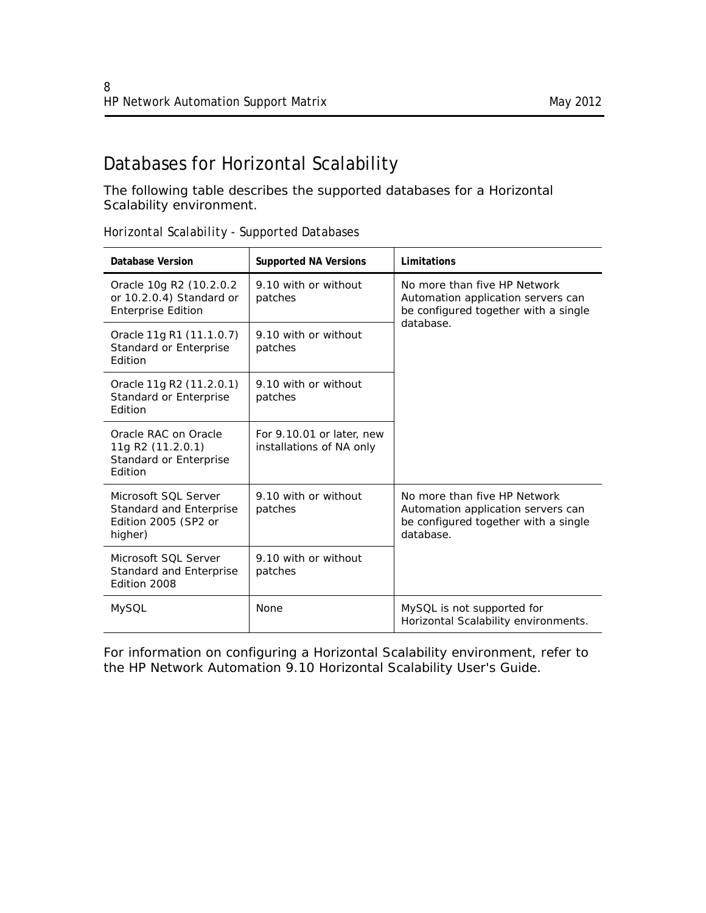## <span id="page-7-0"></span>Databases for Horizontal Scalability

The following table describes the supported databases for a Horizontal Scalability environment.

| Database Version                                                                   | <b>Supported NA Versions</b>                          | Limitations                                                                                                             |
|------------------------------------------------------------------------------------|-------------------------------------------------------|-------------------------------------------------------------------------------------------------------------------------|
| Oracle 10g R2 (10.2.0.2)<br>or 10.2.0.4) Standard or<br><b>Enterprise Edition</b>  | 9.10 with or without<br>patches                       | No more than five HP Network<br>Automation application servers can<br>be configured together with a single              |
| Oracle 11g R1 (11.1.0.7)<br>Standard or Enterprise<br>Edition                      | 9.10 with or without<br>patches                       | database.                                                                                                               |
| Oracle 11g R2 (11.2.0.1)<br>Standard or Enterprise<br>Edition                      | 9.10 with or without<br>patches                       |                                                                                                                         |
| Oracle RAC on Oracle<br>11g R2 (11.2.0.1)<br>Standard or Enterprise<br>Edition     | For 9.10.01 or later, new<br>installations of NA only |                                                                                                                         |
| Microsoft SOL Server<br>Standard and Enterprise<br>Edition 2005 (SP2 or<br>higher) | 9.10 with or without<br>patches                       | No more than five HP Network<br>Automation application servers can<br>be configured together with a single<br>database. |
| Microsoft SOL Server<br>Standard and Enterprise<br>Edition 2008                    | 9.10 with or without<br>patches                       |                                                                                                                         |
| <b>MySQL</b>                                                                       | None                                                  | MySQL is not supported for<br>Horizontal Scalability environments.                                                      |

*Horizontal Scalability - Supported Databases*

For information on configuring a Horizontal Scalability environment, refer to the *HP Network Automation 9.10 Horizontal Scalability User's Guide*.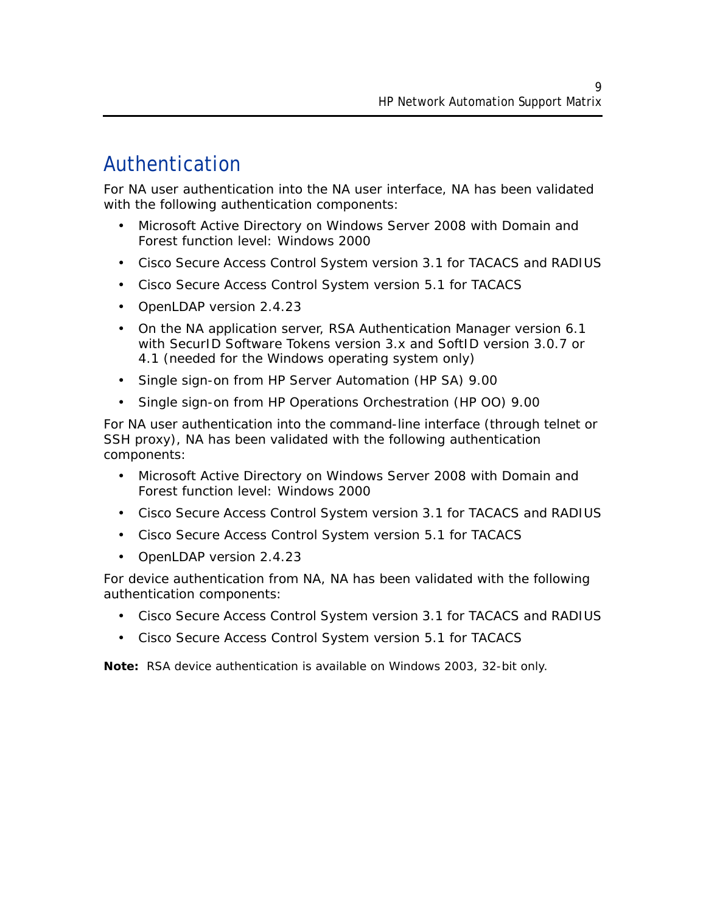# <span id="page-8-0"></span>Authentication

For NA user authentication into the NA user interface, NA has been validated with the following authentication components:

- Microsoft Active Directory on Windows Server 2008 with Domain and Forest function level: Windows 2000
- Cisco Secure Access Control System version 3.1 for TACACS and RADIUS
- Cisco Secure Access Control System version 5.1 for TACACS
- OpenLDAP version 2.4.23
- On the NA application server, RSA Authentication Manager version 6.1 with SecurID Software Tokens version 3.x and SoftID version 3.0.7 or 4.1 (needed for the Windows operating system only)
- Single sign-on from HP Server Automation (HP SA) 9.00
- Single sign-on from HP Operations Orchestration (HP OO) 9.00

For NA user authentication into the command-line interface (through telnet or SSH proxy), NA has been validated with the following authentication components:

- Microsoft Active Directory on Windows Server 2008 with Domain and Forest function level: Windows 2000
- Cisco Secure Access Control System version 3.1 for TACACS and RADIUS
- Cisco Secure Access Control System version 5.1 for TACACS
- OpenLDAP version 2.4.23

For device authentication from NA, NA has been validated with the following authentication components:

- Cisco Secure Access Control System version 3.1 for TACACS and RADIUS
- Cisco Secure Access Control System version 5.1 for TACACS

**Note:** RSA device authentication is available on Windows 2003, 32-bit only.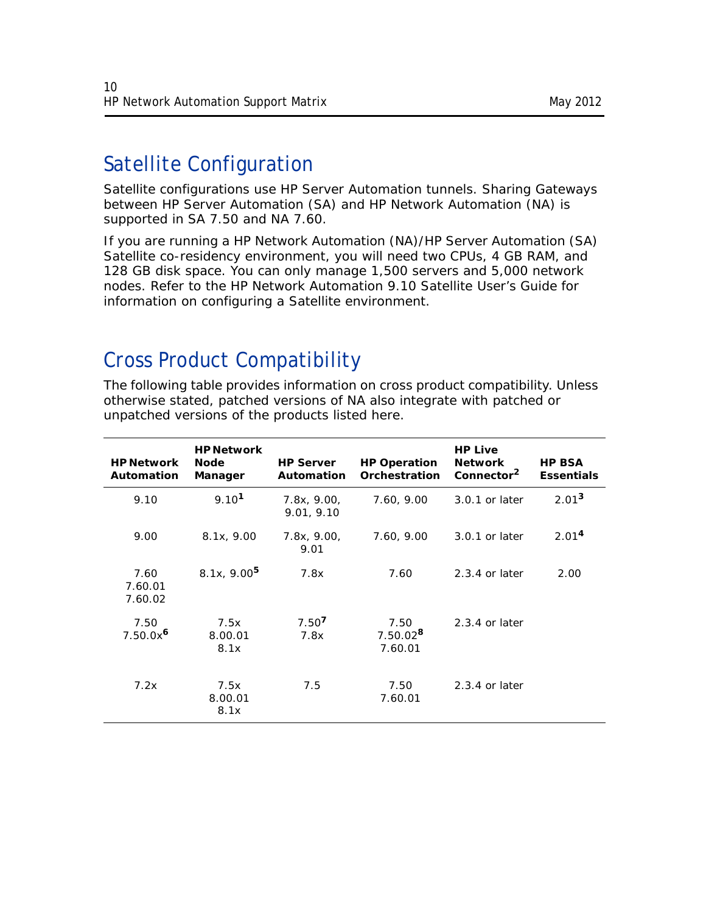# <span id="page-9-0"></span>Satellite Configuration

Satellite configurations use HP Server Automation tunnels. Sharing Gateways between HP Server Automation (SA) and HP Network Automation (NA) is supported in SA 7.50 and NA 7.60.

If you are running a HP Network Automation (NA)/HP Server Automation (SA) Satellite co-residency environment, you will need two CPUs, 4 GB RAM, and 128 GB disk space. You can only manage 1,500 servers and 5,000 network nodes. Refer to the *HP Network Automation 9.10 Satellite User's Guide* for information on configuring a Satellite environment.

# <span id="page-9-1"></span>Cross Product Compatibility

The following table provides information on cross product compatibility. Unless otherwise stated, patched versions of NA also integrate with patched or unpatched versions of the products listed here.

| <b>HP Network</b><br><b>Automation</b> | <b>HP Network</b><br><b>Node</b><br>Manager | <b>HP Server</b><br><b>Automation</b> | <b>HP Operation</b><br>Orchestration | <b>HP Live</b><br><b>Network</b><br>Connector <sup>2</sup> | <b>HP BSA</b><br><b>Essentials</b> |
|----------------------------------------|---------------------------------------------|---------------------------------------|--------------------------------------|------------------------------------------------------------|------------------------------------|
| 9.10                                   | 9.10 <sup>1</sup>                           | 7.8x, 9.00,<br>9.01, 9.10             | 7.60, 9.00                           | 3.0.1 or later                                             | 2.01 <sup>3</sup>                  |
| 9.00                                   | 8.1x, 9.00                                  | 7.8x, 9.00,<br>9.01                   | 7.60, 9.00                           | 3.0.1 or later                                             | 2.01 <sup>4</sup>                  |
| 7.60<br>7.60.01<br>7.60.02             | 8.1x, 9.00 <sup>5</sup>                     | 7.8x                                  | 7.60                                 | $2.3.4$ or later                                           | 2.00                               |
| 7.50<br>$7.50.0x^6$                    | 7.5x<br>8.00.01<br>8.1x                     | 7.50 <sup>7</sup><br>7.8x             | 7.50<br>$7.50.02^8$<br>7.60.01       | $2.3.4$ or later                                           |                                    |
| 7.2x                                   | 7.5x<br>8.00.01<br>8.1x                     | 7.5                                   | 7.50<br>7.60.01                      | $2.3.4$ or later                                           |                                    |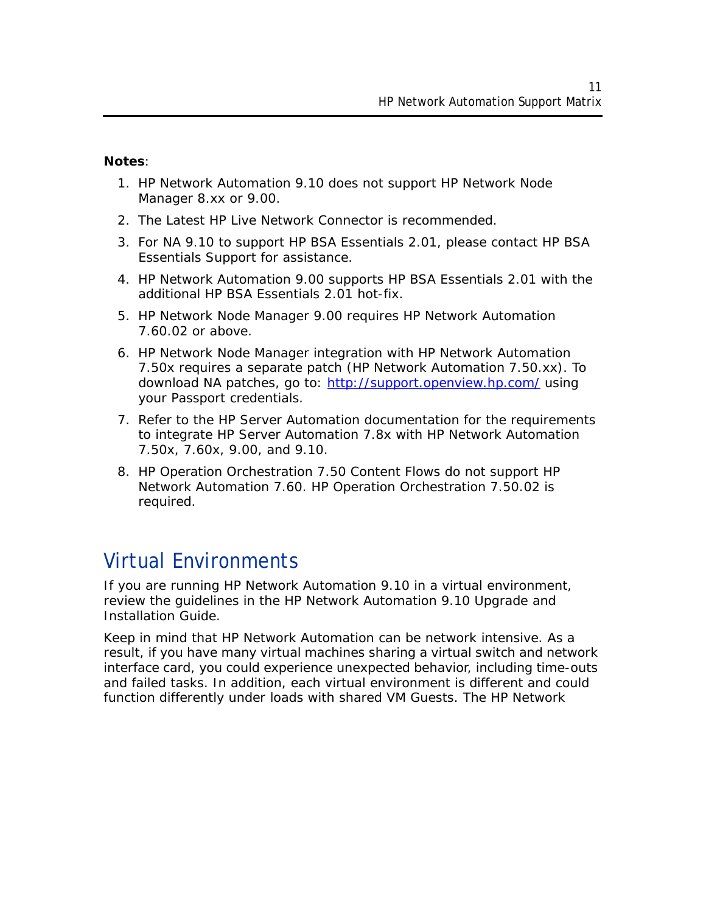#### **Notes**:

- 1. HP Network Automation 9.10 does not support HP Network Node Manager 8.xx or 9.00.
- 2. The Latest HP Live Network Connector is recommended.
- 3. For NA 9.10 to support HP BSA Essentials 2.01, please contact HP BSA Essentials Support for assistance.
- 4. HP Network Automation 9.00 supports HP BSA Essentials 2.01 with the additional HP BSA Essentials 2.01 hot-fix.
- 5. HP Network Node Manager 9.00 requires HP Network Automation 7.60.02 or above.
- 6. HP Network Node Manager integration with HP Network Automation 7.50x requires a separate patch (HP Network Automation 7.50.xx). To download NA patches, go to: http://support.openview.hp.com/ using your Passport credentials.
- 7. Refer to the HP Server Automation documentation for the requirements to integrate HP Server Automation 7.8x with HP Network Automation 7.50x, 7.60x, 9.00, and 9.10.
- 8. HP Operation Orchestration 7.50 Content Flows do not support HP Network Automation 7.60. HP Operation Orchestration 7.50.02 is required.

## <span id="page-10-0"></span>Virtual Environments

If you are running HP Network Automation 9.10 in a virtual environment, review the guidelines in the *HP Network Automation 9.10 Upgrade and Installation Guide*.

Keep in mind that HP Network Automation can be network intensive. As a result, if you have many virtual machines sharing a virtual switch and network interface card, you could experience unexpected behavior, including time-outs and failed tasks. In addition, each virtual environment is different and could function differently under loads with shared VM Guests. The HP Network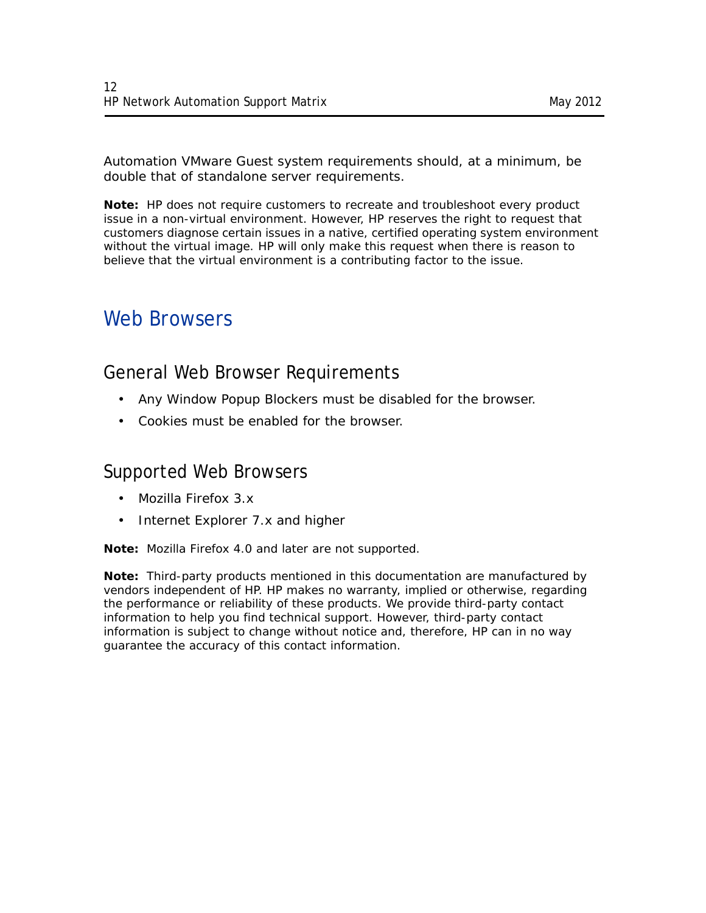Automation VMware Guest system requirements should, at a minimum, be double that of standalone server requirements.

**Note:** HP does not require customers to recreate and troubleshoot every product issue in a non-virtual environment. However, HP reserves the right to request that customers diagnose certain issues in a native, certified operating system environment without the virtual image. HP will only make this request when there is reason to believe that the virtual environment is a contributing factor to the issue.

## <span id="page-11-0"></span>Web Browsers

### General Web Browser Requirements

- Any Window Popup Blockers must be disabled for the browser.
- Cookies must be enabled for the browser.

#### Supported Web Browsers

- Mozilla Firefox 3.x
- Internet Explorer 7.x and higher

**Note:** Mozilla Firefox 4.0 and later are not supported.

**Note:** Third-party products mentioned in this documentation are manufactured by vendors independent of HP. HP makes no warranty, implied or otherwise, regarding the performance or reliability of these products. We provide third-party contact information to help you find technical support. However, third-party contact information is subject to change without notice and, therefore, HP can in no way guarantee the accuracy of this contact information.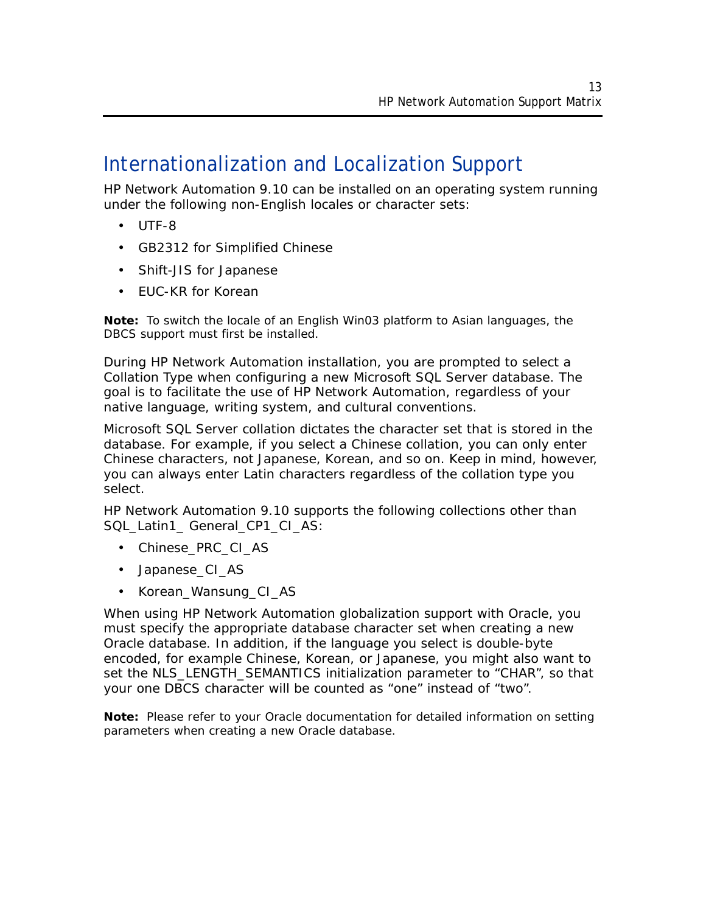## <span id="page-12-0"></span>Internationalization and Localization Support

HP Network Automation 9.10 can be installed on an operating system running under the following non-English locales or character sets:

- UTF-8
- GB2312 for Simplified Chinese
- Shift-JIS for Japanese
- EUC-KR for Korean

**Note:** To switch the locale of an English Win03 platform to Asian languages, the DBCS support must first be installed.

During HP Network Automation installation, you are prompted to select a Collation Type when configuring a new Microsoft SQL Server database. The goal is to facilitate the use of HP Network Automation, regardless of your native language, writing system, and cultural conventions.

Microsoft SQL Server collation dictates the character set that is stored in the database. For example, if you select a Chinese collation, you can only enter Chinese characters, not Japanese, Korean, and so on. Keep in mind, however, you can always enter Latin characters regardless of the collation type you select.

HP Network Automation 9.10 supports the following collections other than SQL\_Latin1\_ General\_CP1\_CI\_AS:

- Chinese\_PRC\_CI\_AS
- Japanese\_CI\_AS
- Korean\_Wansung\_CI\_AS

When using HP Network Automation globalization support with Oracle, you must specify the appropriate database character set when creating a new Oracle database. In addition, if the language you select is double-byte encoded, for example Chinese, Korean, or Japanese, you might also want to set the NLS\_LENGTH\_SEMANTICS initialization parameter to "CHAR", so that your one DBCS character will be counted as "one" instead of "two".

**Note:** Please refer to your Oracle documentation for detailed information on setting parameters when creating a new Oracle database.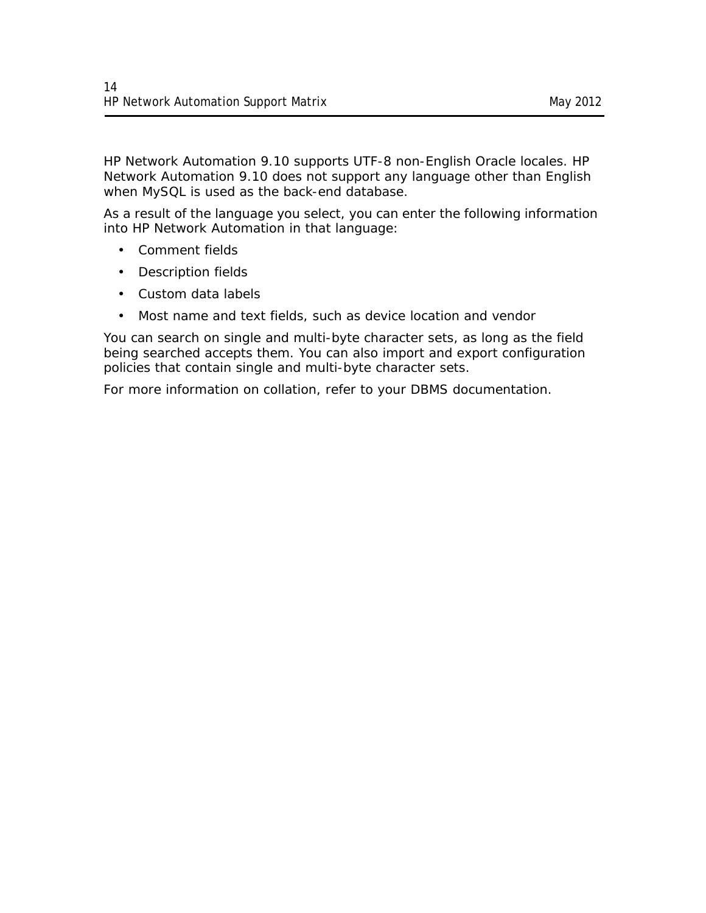HP Network Automation 9.10 supports UTF-8 non-English Oracle locales. HP Network Automation 9.10 does not support any language other than English when MySQL is used as the back-end database.

As a result of the language you select, you can enter the following information into HP Network Automation in that language:

- Comment fields
- Description fields
- Custom data labels
- Most name and text fields, such as device location and vendor

You can search on single and multi-byte character sets, as long as the field being searched accepts them. You can also import and export configuration policies that contain single and multi-byte character sets.

For more information on collation, refer to your DBMS documentation.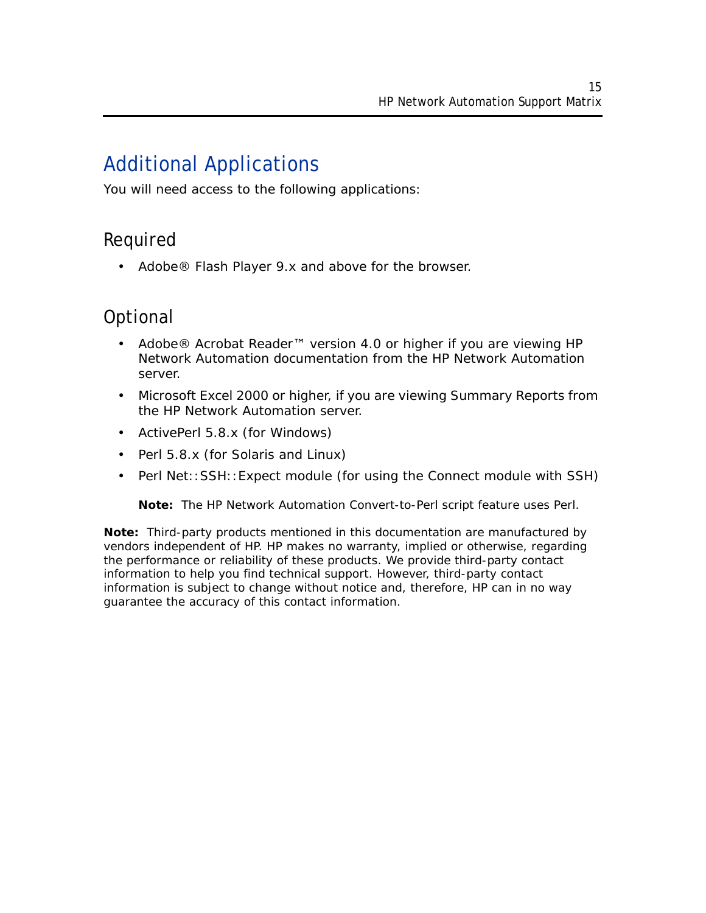# <span id="page-14-0"></span>Additional Applications

You will need access to the following applications:

### Required

• Adobe® Flash Player 9.x and above for the browser.

## Optional

- Adobe® Acrobat Reader™ version 4.0 or higher if you are viewing HP Network Automation documentation from the HP Network Automation server.
- Microsoft Excel 2000 or higher, if you are viewing Summary Reports from the HP Network Automation server.
- ActivePerl 5.8.x (for Windows)
- Perl 5.8.x (for Solaris and Linux)
- Perl Net::SSH::Expect module (for using the Connect module with SSH)

**Note:** The HP Network Automation Convert-to-Perl script feature uses Perl.

**Note:** Third-party products mentioned in this documentation are manufactured by vendors independent of HP. HP makes no warranty, implied or otherwise, regarding the performance or reliability of these products. We provide third-party contact information to help you find technical support. However, third-party contact information is subject to change without notice and, therefore, HP can in no way guarantee the accuracy of this contact information.